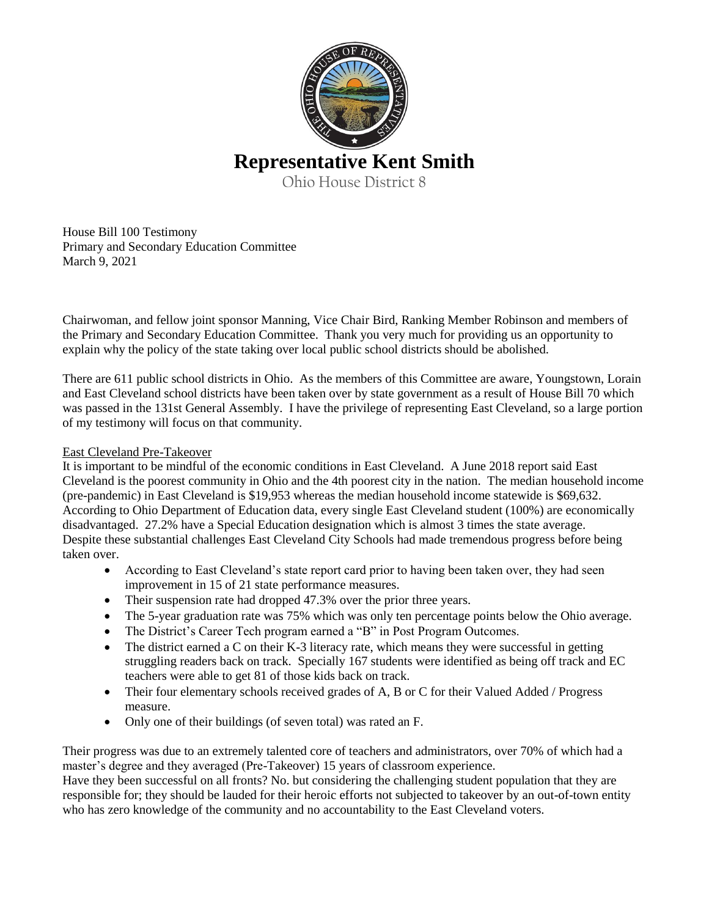

# **Representative Kent Smith**

Ohio House District 8

House Bill 100 Testimony Primary and Secondary Education Committee March 9, 2021

Chairwoman, and fellow joint sponsor Manning, Vice Chair Bird, Ranking Member Robinson and members of the Primary and Secondary Education Committee. Thank you very much for providing us an opportunity to explain why the policy of the state taking over local public school districts should be abolished.

There are 611 public school districts in Ohio. As the members of this Committee are aware, Youngstown, Lorain and East Cleveland school districts have been taken over by state government as a result of House Bill 70 which was passed in the 131st General Assembly. I have the privilege of representing East Cleveland, so a large portion of my testimony will focus on that community.

## East Cleveland Pre-Takeover

It is important to be mindful of the economic conditions in East Cleveland. A June 2018 report said East Cleveland is the poorest community in Ohio and the 4th poorest city in the nation. The median household income (pre-pandemic) in East Cleveland is \$19,953 whereas the median household income statewide is \$69,632. According to Ohio Department of Education data, every single East Cleveland student (100%) are economically disadvantaged. 27.2% have a Special Education designation which is almost 3 times the state average. Despite these substantial challenges East Cleveland City Schools had made tremendous progress before being taken over.

- According to East Cleveland's state report card prior to having been taken over, they had seen improvement in 15 of 21 state performance measures.
- Their suspension rate had dropped 47.3% over the prior three years.
- The 5-year graduation rate was 75% which was only ten percentage points below the Ohio average.
- The District's Career Tech program earned a "B" in Post Program Outcomes.
- The district earned a C on their K-3 literacy rate, which means they were successful in getting struggling readers back on track. Specially 167 students were identified as being off track and EC teachers were able to get 81 of those kids back on track.
- Their four elementary schools received grades of A, B or C for their Valued Added / Progress measure.
- Only one of their buildings (of seven total) was rated an F.

Their progress was due to an extremely talented core of teachers and administrators, over 70% of which had a master's degree and they averaged (Pre-Takeover) 15 years of classroom experience.

Have they been successful on all fronts? No. but considering the challenging student population that they are responsible for; they should be lauded for their heroic efforts not subjected to takeover by an out-of-town entity who has zero knowledge of the community and no accountability to the East Cleveland voters.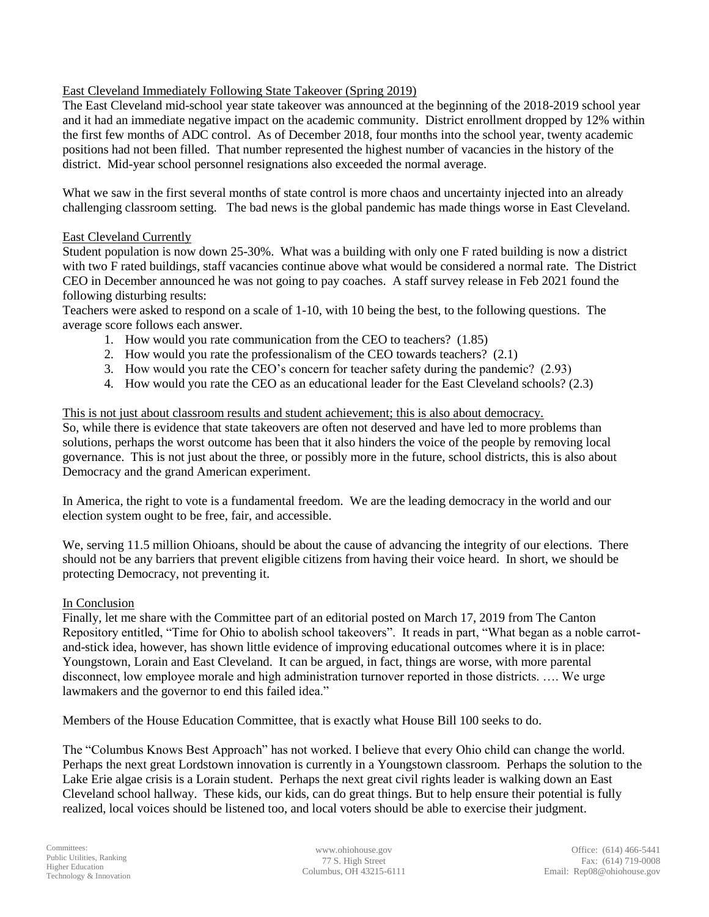### East Cleveland Immediately Following State Takeover (Spring 2019)

The East Cleveland mid-school year state takeover was announced at the beginning of the 2018-2019 school year and it had an immediate negative impact on the academic community. District enrollment dropped by 12% within the first few months of ADC control. As of December 2018, four months into the school year, twenty academic positions had not been filled. That number represented the highest number of vacancies in the history of the district. Mid-year school personnel resignations also exceeded the normal average.

What we saw in the first several months of state control is more chaos and uncertainty injected into an already challenging classroom setting. The bad news is the global pandemic has made things worse in East Cleveland.

#### East Cleveland Currently

Student population is now down 25-30%. What was a building with only one F rated building is now a district with two F rated buildings, staff vacancies continue above what would be considered a normal rate. The District CEO in December announced he was not going to pay coaches. A staff survey release in Feb 2021 found the following disturbing results:

Teachers were asked to respond on a scale of 1-10, with 10 being the best, to the following questions. The average score follows each answer.

- 1. How would you rate communication from the CEO to teachers? (1.85)
- 2. How would you rate the professionalism of the CEO towards teachers? (2.1)
- 3. How would you rate the CEO's concern for teacher safety during the pandemic? (2.93)
- 4. How would you rate the CEO as an educational leader for the East Cleveland schools? (2.3)

#### This is not just about classroom results and student achievement; this is also about democracy.

So, while there is evidence that state takeovers are often not deserved and have led to more problems than solutions, perhaps the worst outcome has been that it also hinders the voice of the people by removing local governance. This is not just about the three, or possibly more in the future, school districts, this is also about Democracy and the grand American experiment.

In America, the right to vote is a fundamental freedom. We are the leading democracy in the world and our election system ought to be free, fair, and accessible.

We, serving 11.5 million Ohioans, should be about the cause of advancing the integrity of our elections. There should not be any barriers that prevent eligible citizens from having their voice heard. In short, we should be protecting Democracy, not preventing it.

#### In Conclusion

Finally, let me share with the Committee part of an editorial posted on March 17, 2019 from The Canton Repository entitled, "Time for Ohio to abolish school takeovers". It reads in part, "What began as a noble carrotand-stick idea, however, has shown little evidence of improving educational outcomes where it is in place: Youngstown, Lorain and East Cleveland. It can be argued, in fact, things are worse, with more parental disconnect, low employee morale and high administration turnover reported in those districts. …. We urge lawmakers and the governor to end this failed idea."

Members of the House Education Committee, that is exactly what House Bill 100 seeks to do.

The "Columbus Knows Best Approach" has not worked. I believe that every Ohio child can change the world. Perhaps the next great Lordstown innovation is currently in a Youngstown classroom. Perhaps the solution to the Lake Erie algae crisis is a Lorain student. Perhaps the next great civil rights leader is walking down an East Cleveland school hallway. These kids, our kids, can do great things. But to help ensure their potential is fully realized, local voices should be listened too, and local voters should be able to exercise their judgment.